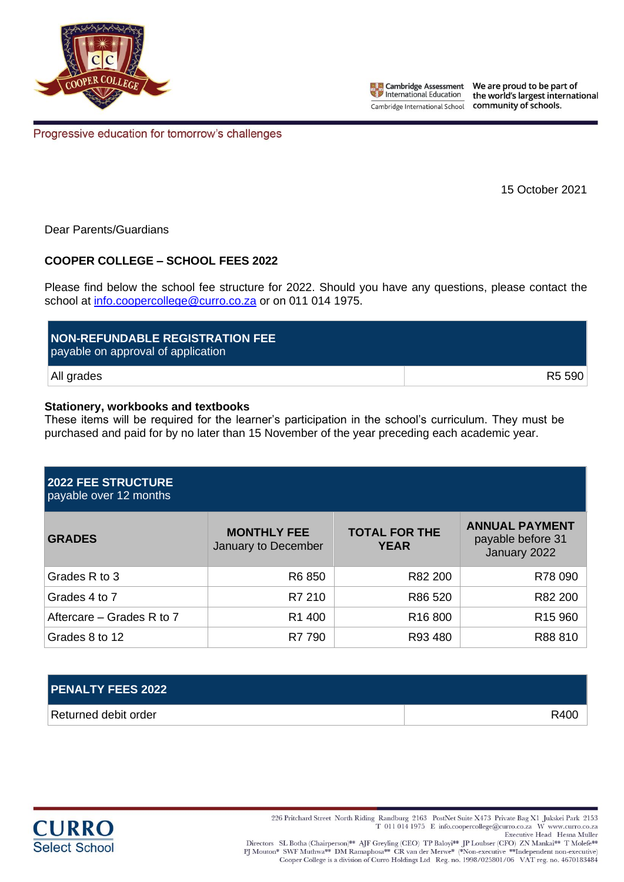

Cambridge Assessment We are proud to be part of the world's largest international

Progressive education for tomorrow's challenges

15 October 2021

Dear Parents/Guardians

## **COOPER COLLEGE – SCHOOL FEES 2022**

Please find below the school fee structure for 2022. Should you have any questions, please contact the school at [info.coopercollege@curro.co.za](mailto:info.coopercollege@curro.co.za) or on 011 014 1975.

| NON-REFUNDABLE REGISTRATION FEE<br>payable on approval of application |        |
|-----------------------------------------------------------------------|--------|
| All grades                                                            | R5 590 |

#### **Stationery, workbooks and textbooks**

These items will be required for the learner's participation in the school's curriculum. They must be purchased and paid for by no later than 15 November of the year preceding each academic year.

| <b>2022 FEE STRUCTURE</b><br>payable over 12 months |                                           |                                     |                                                            |  |
|-----------------------------------------------------|-------------------------------------------|-------------------------------------|------------------------------------------------------------|--|
| <b>GRADES</b>                                       | <b>MONTHLY FEE</b><br>January to December | <b>TOTAL FOR THE</b><br><b>YEAR</b> | <b>ANNUAL PAYMENT</b><br>payable before 31<br>January 2022 |  |
| Grades R to 3                                       | R6 850                                    | R82 200                             | R78 090                                                    |  |
| Grades 4 to 7                                       | R7 210                                    | R86 520                             | R82 200                                                    |  |
| Aftercare – Grades R to 7                           | R <sub>1</sub> 400                        | R <sub>16</sub> 800                 | R <sub>15</sub> 960                                        |  |
| Grades 8 to 12                                      | R7 790                                    | R93 480                             | R88 810                                                    |  |

# **PENALTY FEES 2022**

Returned debit order National According to the Contract of the Contract of the R400 NATURE R400



 $226$  Pritchard Street North Riding Randburg 2163 PostNet Suite X473 Private Bag X1 Jukskei Park 2153 T 011 014 1975 E info.coopercollege@curro.co.za W www.curro.co.za Executive Head Hesna Muller

 $\begin{minipage}{0.9\textwidth} \begin{minipage}{0.9\textwidth} \begin{minipage}{0.9\textwidth} \begin{minipage}{0.9\textwidth} \begin{minipage}{0.9\textwidth} \begin{minipage}{0.9\textwidth} \begin{minipage}{0.9\textwidth} \begin{minipage}{0.9\textwidth} \begin{minipage}{0.9\textwidth} \begin{minipage}{0.9\textwidth} \begin{minipage}{0.9\textwidth} \begin{minipage}{0.9\textwidth} \begin{minipage}{0.9\textwidth} \begin{minipage}{0.9\textwidth} \begin{minipage}{0.9\textwidth} \begin{minipage}{0.9$